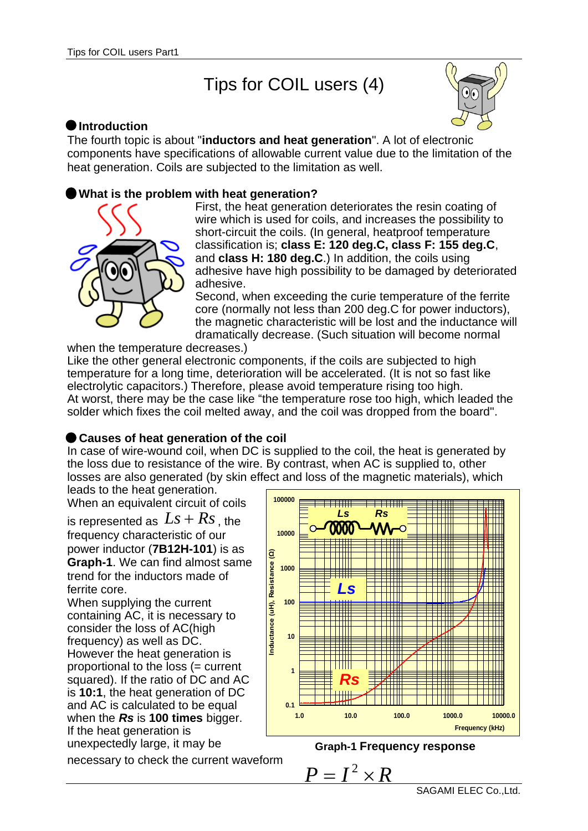# Tips for COIL users (4)



## **Introduction**

The fourth topic is about "**inductors and heat generation**". A lot of electronic components have specifications of allowable current value due to the limitation of the heat generation. Coils are subjected to the limitation as well.

## **What is the problem with heat generation?**



First, the heat generation deteriorates the resin coating of wire which is used for coils, and increases the possibility to short-circuit the coils. (In general, heatproof temperature classification is; **class E: 120 deg.C, class F: 155 deg.C**, and **class H: 180 deg.C**.) In addition, the coils using adhesive have high possibility to be damaged by deteriorated adhesive.

Second, when exceeding the curie temperature of the ferrite core (normally not less than 200 deg.C for power inductors), the magnetic characteristic will be lost and the inductance will dramatically decrease. (Such situation will become normal

when the temperature decreases.)

Like the other general electronic components, if the coils are subjected to high temperature for a long time, deterioration will be accelerated. (It is not so fast like electrolytic capacitors.) Therefore, please avoid temperature rising too high. At worst, there may be the case like "the temperature rose too high, which leaded the solder which fixes the coil melted away, and the coil was dropped from the board".

# **Causes of heat generation of the coil**

In case of wire-wound coil, when DC is supplied to the coil, the heat is generated by the loss due to resistance of the wire. By contrast, when AC is supplied to, other losses are also generated (by skin effect and loss of the magnetic materials), which

leads to the heat generation. When an equivalent circuit of coils

is represented as  $Ls+Rs$  , the frequency characteristic of our power inductor (**7B12H-101**) is as **Graph-1**. We can find almost same trend for the inductors made of ferrite core.

When supplying the current containing AC, it is necessary to consider the loss of AC(high frequency) as well as DC. However the heat generation is proportional to the loss (= current squared). If the ratio of DC and AC is **10:1**, the heat generation of DC and AC is calculated to be equal when the *Rs* is **100 times** bigger. If the heat generation is unexpectedly large, it may be

necessary to check the current waveform



**Graph-1 Frequency response**

 $P = I^2 \times R$